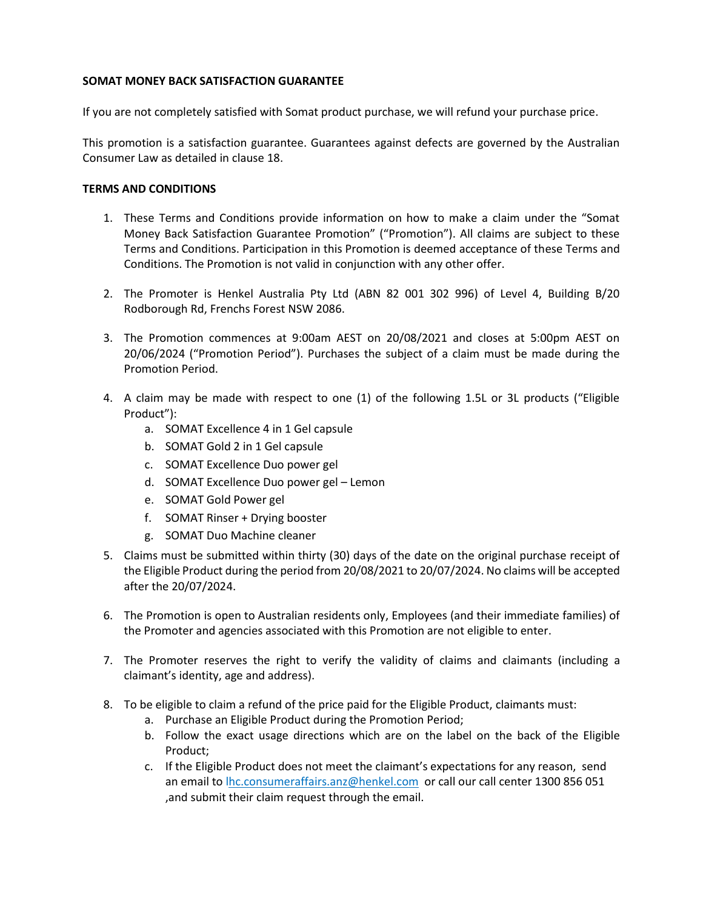## **SOMAT MONEY BACK SATISFACTION GUARANTEE**

If you are not completely satisfied with Somat product purchase, we will refund your purchase price.

This promotion is a satisfaction guarantee. Guarantees against defects are governed by the Australian Consumer Law as detailed in claus[e 18.](#page-2-0)

## **TERMS AND CONDITIONS**

- 1. These Terms and Conditions provide information on how to make a claim under the "Somat Money Back Satisfaction Guarantee Promotion" ("Promotion"). All claims are subject to these Terms and Conditions. Participation in this Promotion is deemed acceptance of these Terms and Conditions. The Promotion is not valid in conjunction with any other offer.
- 2. The Promoter is Henkel Australia Pty Ltd (ABN 82 001 302 996) of Level 4, Building B/20 Rodborough Rd, Frenchs Forest NSW 2086.
- 3. The Promotion commences at 9:00am AEST on 20/08/2021 and closes at 5:00pm AEST on 20/06/2024 ("Promotion Period"). Purchases the subject of a claim must be made during the Promotion Period.
- 4. A claim may be made with respect to one (1) of the following 1.5L or 3L products ("Eligible Product"):
	- a. SOMAT Excellence 4 in 1 Gel capsule
	- b. SOMAT Gold 2 in 1 Gel capsule
	- c. SOMAT Excellence Duo power gel
	- d. SOMAT Excellence Duo power gel Lemon
	- e. SOMAT Gold Power gel
	- f. SOMAT Rinser + Drying booster
	- g. SOMAT Duo Machine cleaner
- <span id="page-0-0"></span>5. Claims must be submitted within thirty (30) days of the date on the original purchase receipt of the Eligible Product during the period from 20/08/2021 to 20/07/2024. No claims will be accepted after the 20/07/2024.
- 6. The Promotion is open to Australian residents only, Employees (and their immediate families) of the Promoter and agencies associated with this Promotion are not eligible to enter.
- 7. The Promoter reserves the right to verify the validity of claims and claimants (including a claimant's identity, age and address).
- 8. To be eligible to claim a refund of the price paid for the Eligible Product, claimants must:
	- a. Purchase an Eligible Product during the Promotion Period;
	- b. Follow the exact usage directions which are on the label on the back of the Eligible Product;
	- c. If the Eligible Product does not meet the claimant's expectations for any reason, send an email to [lhc.consumeraffairs.anz@henkel.com](mailto:hc.consumeraffairs.anz@henkel.com) or call our call center 1300 856 051 ,and submit their claim request through the email.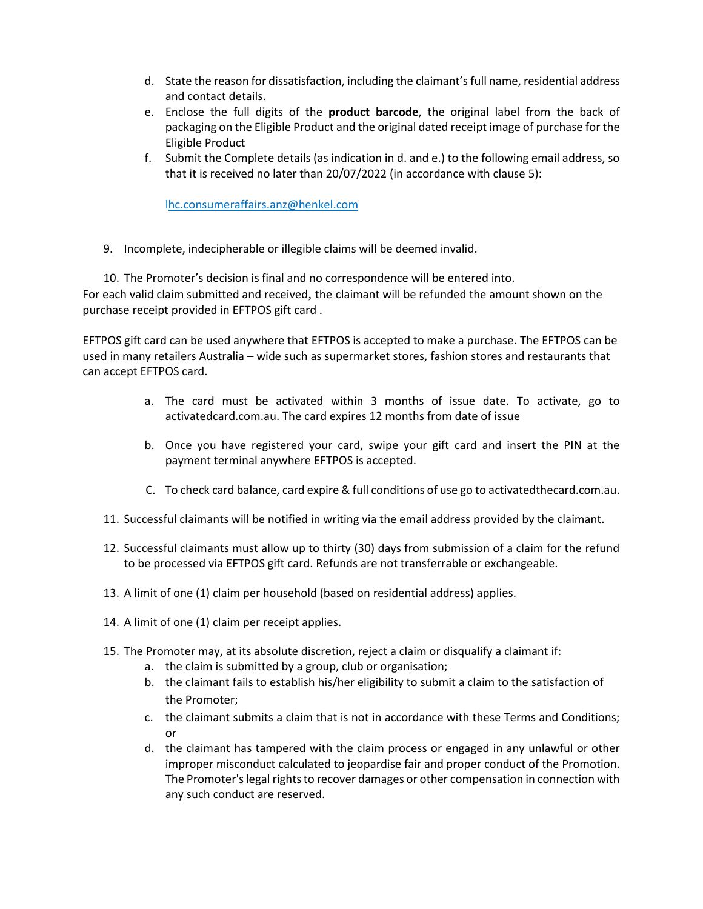- d. State the reason for dissatisfaction, including the claimant's full name, residential address and contact details.
- e. Enclose the full digits of the **product barcode**, the original label from the back of packaging on the Eligible Product and the original dated receipt image of purchase for the Eligible Product
- f. Submit the Complete details (as indication in d. and e.) to the following email address, so that it is received no later than 20/07/2022 (in accordance with clause [5\)](#page-0-0):

[lhc.consumeraffairs.anz@henkel.com](mailto:hc.consumeraffairs.anz@henkel.com)

9. Incomplete, indecipherable or illegible claims will be deemed invalid.

10. The Promoter's decision is final and no correspondence will be entered into. For each valid claim submitted and received, the claimant will be refunded the amount shown on the purchase receipt provided in EFTPOS gift card .

EFTPOS gift card can be used anywhere that EFTPOS is accepted to make a purchase. The EFTPOS can be used in many retailers Australia – wide such as supermarket stores, fashion stores and restaurants that can accept EFTPOS card.

- a. The card must be activated within 3 months of issue date. To activate, go to activatedcard.com.au. The card expires 12 months from date of issue
- b. Once you have registered your card, swipe your gift card and insert the PIN at the payment terminal anywhere EFTPOS is accepted.
- C. To check card balance, card expire & full conditions of use go to activatedthecard.com.au.
- 11. Successful claimants will be notified in writing via the email address provided by the claimant.
- 12. Successful claimants must allow up to thirty (30) days from submission of a claim for the refund to be processed via EFTPOS gift card. Refunds are not transferrable or exchangeable.
- 13. A limit of one (1) claim per household (based on residential address) applies.
- 14. A limit of one (1) claim per receipt applies.
- 15. The Promoter may, at its absolute discretion, reject a claim or disqualify a claimant if:
	- a. the claim is submitted by a group, club or organisation;
	- b. the claimant fails to establish his/her eligibility to submit a claim to the satisfaction of the Promoter;
	- c. the claimant submits a claim that is not in accordance with these Terms and Conditions; or
	- d. the claimant has tampered with the claim process or engaged in any unlawful or other improper misconduct calculated to jeopardise fair and proper conduct of the Promotion. The Promoter's legal rights to recover damages or other compensation in connection with any such conduct are reserved.